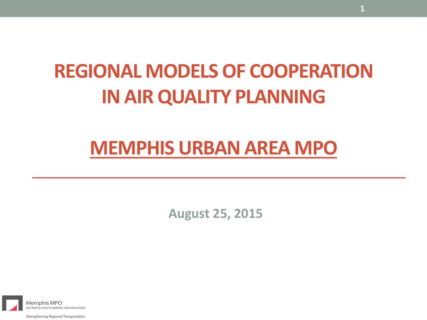### **REGIONAL MODELS OF COOPERATION IN AIR QUALITY PLANNING**

### **MEMPHIS URBAN AREA MPO**

**August 25, 2015**



Strengthening Regional Transportation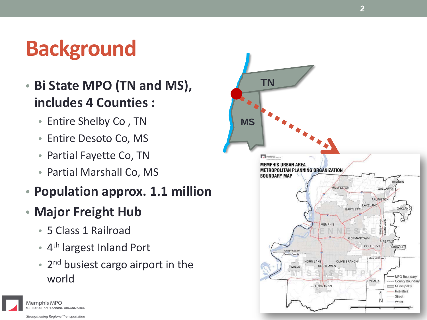# **Background**

- **Bi State MPO (TN and MS), includes 4 Counties :**
	- Entire Shelby Co , TN
	- Entire Desoto Co, MS
	- Partial Fayette Co, TN
	- Partial Marshall Co, MS
- **Population approx. 1.1 million**
- **Major Freight Hub**
	- 5 Class 1 Railroad
	- 4<sup>th</sup> largest Inland Port
	- $\bullet$  2<sup>nd</sup> busiest cargo airport in the world





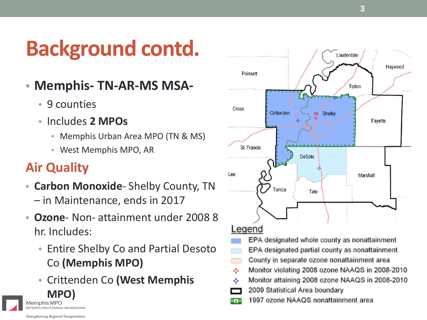# **Background contd.**

- **Memphis- TN-AR-MS MSA-**
	- 9 counties
	- Includes **2 MPOs**
		- Memphis Urban Area MPO (TN & MS)
		- West Memphis MPO, AR

### **Air Quality**

- **Carbon Monoxide** Shelby County, TN – in Maintenance, ends in 2017
- **Ozone** Non- attainment under 2008 8 hr. Includes:
	- Entire Shelby Co and Partial Desoto Co **(Memphis MPO)**
- Crittenden Co **(West Memphis MPO**



ETROPOLITAN PLANNING ORGANIZATION Strengthening Regional Transportation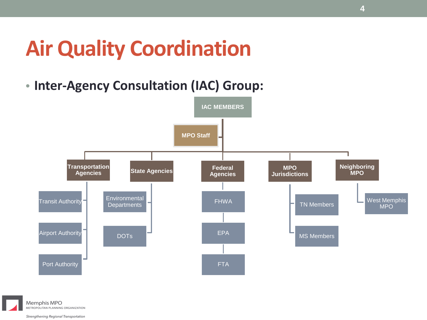## **Air Quality Coordination**

• **Inter-Agency Consultation (IAC) Group:**





Strengthening Regional Transportation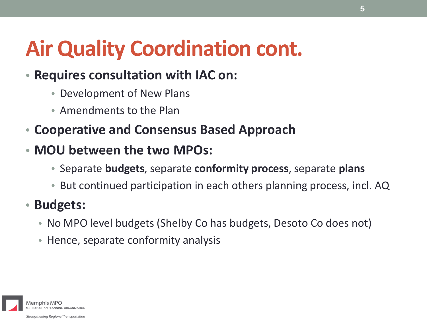# **Air Quality Coordination cont.**

### • **Requires consultation with IAC on:**

- Development of New Plans
- Amendments to the Plan
- **Cooperative and Consensus Based Approach**
- **MOU between the two MPOs:**
	- Separate **budgets**, separate **conformity process**, separate **plans**
	- But continued participation in each others planning process, incl. AQ
- **Budgets:**
	- No MPO level budgets (Shelby Co has budgets, Desoto Co does not)
	- Hence, separate conformity analysis

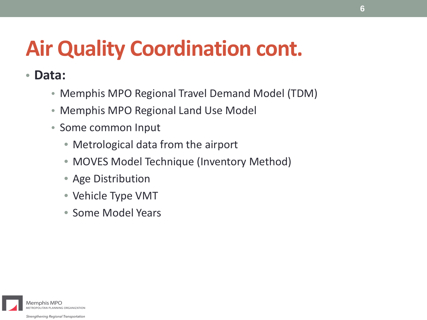# **Air Quality Coordination cont.**

• **Data:**

- Memphis MPO Regional Travel Demand Model (TDM)
- Memphis MPO Regional Land Use Model
- Some common Input
	- Metrological data from the airport
	- MOVES Model Technique (Inventory Method)
	- Age Distribution
	- Vehicle Type VMT
	- Some Model Years

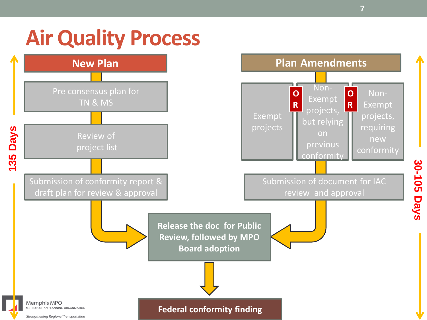### **Air Quality Process**

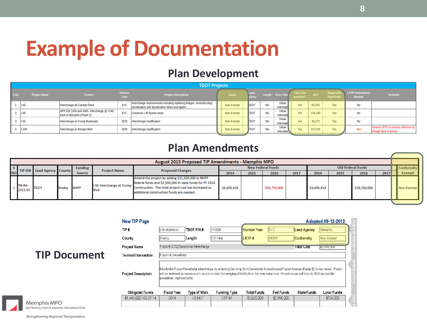### **Example of Documentation**

#### **Plan Development**

|                 |                     |                                                                         |                 | <b>TDOT Projects</b>                                                                                                   |                     |              |           |                                  |                       |         |                          |                                              |                                                             |
|-----------------|---------------------|-------------------------------------------------------------------------|-----------------|------------------------------------------------------------------------------------------------------------------------|---------------------|--------------|-----------|----------------------------------|-----------------------|---------|--------------------------|----------------------------------------------|-------------------------------------------------------------|
| S <sub>No</sub> | <b>Project Name</b> | <b>Termini</b>                                                          | Horizon<br>Year | <b>Project Description</b>                                                                                             | Status <sup>1</sup> | Lead         |           | Length Func Clas;                | Can it be<br>modeled? | ADT     | Regionali<br>Significant | <b>LRTP Amendment</b><br>Needed <sup>1</sup> | Remarks                                                     |
|                 | $II-40$             | Interchange @ Canada Road                                               | $E+C$           | Interchange improvements including replacing bridges, reconstructing<br>acceleration and deceleration lanes and tapers | Non-Exempt          | <b>T</b> DOT | <b>NA</b> | Urban<br>Interstate              | Yes                   | 83,350  | <b>Yes</b>               | No                                           |                                                             |
|                 | $II-40$             | HPP-ID# 1359 and 4945, Interchange @ I-240<br>East of Memphis (Phase 2) | $E+C$           | Construct I-40 flyover ramp                                                                                            | Non-Exempt          | <b>T</b> DOT | <b>NA</b> | Urban <sup>'</sup><br>Interstate | Yes                   | 134,240 | <b>Yes</b>               | No                                           |                                                             |
|                 | $1-55$              | Interchange at Crump Boulevard                                          | 2020            | Interchange modification                                                                                               | Non-Exempt          | <b>T</b> DOT | <b>NA</b> | Urban<br>Interstate              | Yes                   | 48.173  | Yes                      | No                                           |                                                             |
|                 | $1-240$             | Interchange at Airways Blvd                                             | 2030            | nterchange modification                                                                                                | Non-Exempt          | <b>T</b> DOT | <b>NA</b> | Urban '<br>Interstate            | Yes                   | 147,032 | Yes                      | Yes                                          | Amend LRTP to remove reference to<br>Plough Blvd in termini |

#### **Plan Amendments**

|           |                   |                            |             |         |                     | <b>August 2015 Proposed TIP Amendments - Memphis MPO</b>                                                                                                                                                                                     |             |      |                          |      |             |      |                          |      |                   |
|-----------|-------------------|----------------------------|-------------|---------|---------------------|----------------------------------------------------------------------------------------------------------------------------------------------------------------------------------------------------------------------------------------------|-------------|------|--------------------------|------|-------------|------|--------------------------|------|-------------------|
|           |                   | TIP ID# Lead Agency County |             | Funding | <b>Project Name</b> | <b>Proposed Changes</b>                                                                                                                                                                                                                      |             |      | <b>New Federal Funds</b> |      |             |      | <b>Old Federal Funds</b> |      | <b>Conformity</b> |
| <b>NO</b> |                   |                            |             | Source  |                     |                                                                                                                                                                                                                                              | 2014        | 2015 | 2016                     | 2017 | 2014        | 2015 | 2016                     | 2017 | Exempt            |
|           | TN-IM-<br>2011-01 | <b>TDOT</b>                | Shelby NHPP |         | <b>Blvd</b>         | Amend the project by adding \$31,500,000 in NHPP<br>federal funds and \$3,500,000 in state funds for FY 2016<br>I-55 Interchange at Crump Construction. The total project cost has increased so<br>additional construction funds are needed. | \$4,630,419 |      | \$60,750,000             |      | \$4,630,419 |      | \$29,250,000             |      | Non-Exempt        |

|                     | <b>New TIP Page</b>        |                          |                                      |                                                                                                                                                                                                                                                                                |                     |             |                    | Adopted 09-12-2013 |  |
|---------------------|----------------------------|--------------------------|--------------------------------------|--------------------------------------------------------------------------------------------------------------------------------------------------------------------------------------------------------------------------------------------------------------------------------|---------------------|-------------|--------------------|--------------------|--|
|                     | TIP #                      | STP-M-2000-04            | <b>TDOT PIN #</b>                    | 110296                                                                                                                                                                                                                                                                         | <b>Horizon Year</b> | $E+C$       | Lead Agency        | Memphis            |  |
|                     | County                     | Shelby                   | Length                               | 0.5 miles                                                                                                                                                                                                                                                                      | LRTP #              | 690001      | Conformity         | Non-Exempt         |  |
|                     | <b>Project Name</b>        |                          | Poplar(US 72)/Sweetbriar Interchange |                                                                                                                                                                                                                                                                                |                     |             | <b>TOTAL COST</b>  | <b>104,040,000</b> |  |
| <b>TIP Document</b> | Termini/Intersection       | Poplar at Sweetbrian     |                                      |                                                                                                                                                                                                                                                                                |                     |             |                    |                    |  |
|                     | <b>Project Description</b> | pedestrian improvements. |                                      | Modify the Poplar/Sweetbriar interchange by widening the ramp from Sweetbriar to westbound Poplar Avenue (Ramp B) to two lanes. Poplar<br>will be widened as necessary to accommodate the merging of traffic from the new ramp lane. Project scope will include ADA accessible |                     |             |                    |                    |  |
|                     | <b>Obligated Funds</b>     | <b>Fiscal Year</b>       | <b>Type of Work</b>                  | <b>Funding Type</b>                                                                                                                                                                                                                                                            | <b>Total Funds</b>  | Fed Funds   | <b>State Funds</b> | Local Funds        |  |
|                     | \$1,448,000 / 03.21.14     | 2014                     | CONST                                | STP-M                                                                                                                                                                                                                                                                          | \$3,620,000         | \$2,896,000 |                    | \$724,000          |  |
| Memphis MPO         |                            |                          |                                      |                                                                                                                                                                                                                                                                                |                     |             |                    |                    |  |

Strengthening Regional Transportation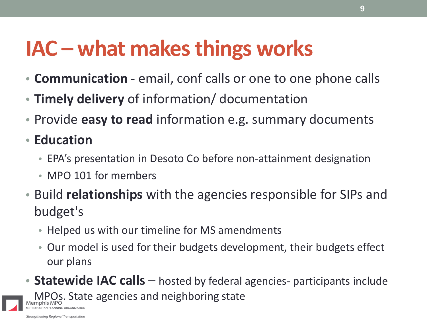## **IAC – what makes things works**

- **Communication** email, conf calls or one to one phone calls
- **Timely delivery** of information/ documentation
- Provide **easy to read** information e.g. summary documents
- **Education**
	- EPA's presentation in Desoto Co before non-attainment designation
	- MPO 101 for members
- Build **relationships** with the agencies responsible for SIPs and budget's
	- Helped us with our timeline for MS amendments
	- Our model is used for their budgets development, their budgets effect our plans
- **Statewide IAC calls** hosted by federal agencies- participants include **MPOs. State agencies and neighboring state**

AN PLANNING ORGANIZATION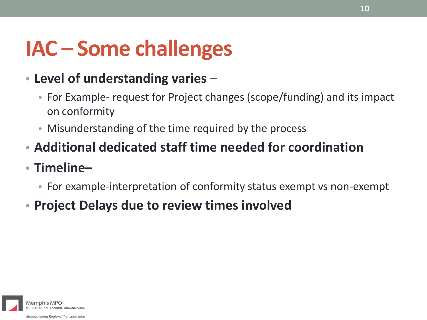## **IAC – Some challenges**

### • **Level of understanding varies** –

- For Example- request for Project changes (scope/funding) and its impact on conformity
- Misunderstanding of the time required by the process
- **Additional dedicated staff time needed for coordination**
- **Timeline–**
	- For example-interpretation of conformity status exempt vs non-exempt
- **Project Delays due to review times involved**

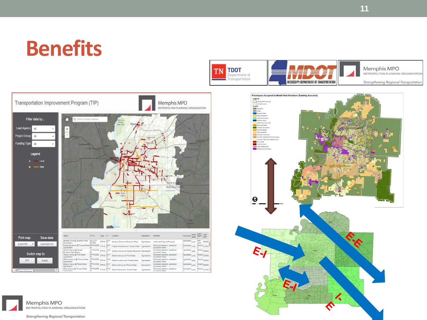### **Benefits**







Strengthening Regional Transportation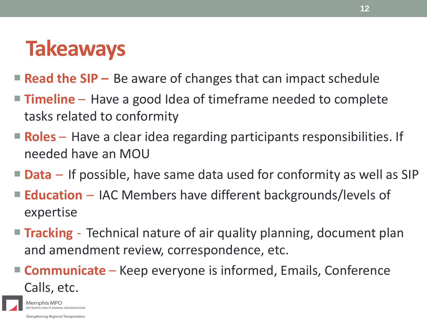### **Takeaways**

- **Read the SIP** Be aware of changes that can impact schedule
- **Timeline**  Have a good Idea of timeframe needed to complete tasks related to conformity
- **Roles** Have a clear idea regarding participants responsibilities. If needed have an MOU
- **Data** If possible, have same data used for conformity as well as SIP
- **Education** IAC Members have different backgrounds/levels of expertise
- **Tracking** Technical nature of air quality planning, document plan and amendment review, correspondence, etc.
- **Communicate** Keep everyone is informed, Emails, Conference Calls, etc.